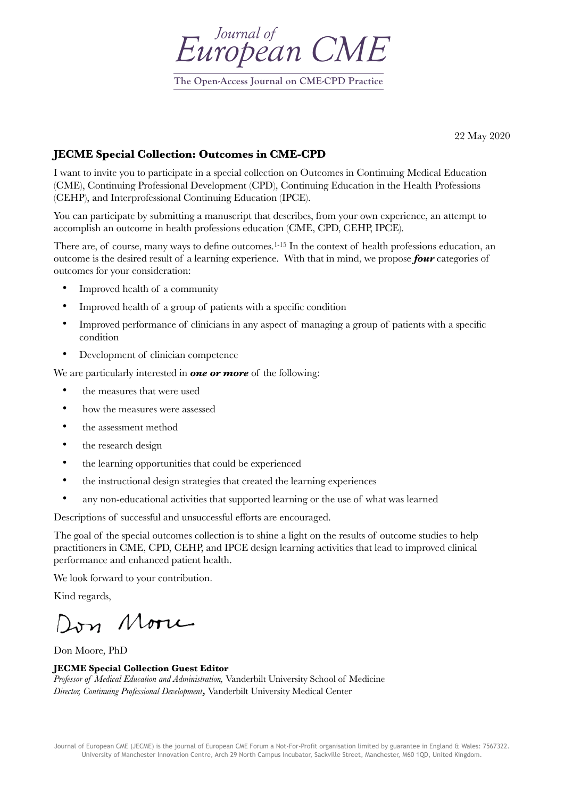

**The Open-Access Journal on CME-CPD Practice**

22 May 2020

## **JECME Special Collection: Outcomes in CME-CPD**

I want to invite you to participate in a special collection on Outcomes in Continuing Medical Education (CME), Continuing Professional Development (CPD), Continuing Education in the Health Professions (CEHP), and Interprofessional Continuing Education (IPCE).

You can participate by submitting a manuscript that describes, from your own experience, an attempt to accomplish an outcome in health professions education (CME, CPD, CEHP, IPCE).

There are, of course, many ways to define outcomes.<sup>1-15</sup> In the context of health professions education, an outcome is the desired result of a learning experience. With that in mind, we propose *four* categories of outcomes for your consideration:

- Improved health of a community
- Improved health of a group of patients with a specific condition
- Improved performance of clinicians in any aspect of managing a group of patients with a specific condition
- Development of clinician competence

We are particularly interested in *one or more* of the following:

- the measures that were used
- how the measures were assessed
- the assessment method
- the research design
- the learning opportunities that could be experienced
- the instructional design strategies that created the learning experiences
- any non-educational activities that supported learning or the use of what was learned

Descriptions of successful and unsuccessful efforts are encouraged.

The goal of the special outcomes collection is to shine a light on the results of outcome studies to help practitioners in CME, CPD, CEHP, and IPCE design learning activities that lead to improved clinical performance and enhanced patient health.

We look forward to your contribution.

Kind regards,

Don More

Don Moore, PhD

## **JECME Special Collection Guest Editor**

*Professor of Medical Education and Administration,* Vanderbilt University School of Medicine *Director, Continuing Professional Development,* Vanderbilt University Medical Center